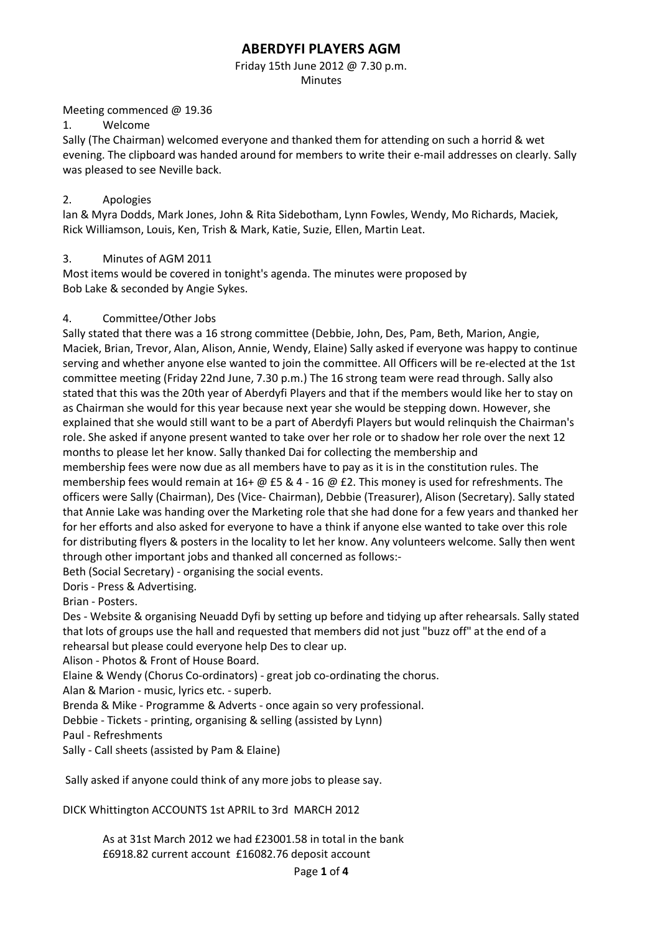Friday 15th June 2012 @ 7.30 p.m. Minutes

#### Meeting commenced @ 19.36

1. Welcome

Sally (The Chairman) welcomed everyone and thanked them for attending on such a horrid & wet evening. The clipboard was handed around for members to write their e-mail addresses on clearly. Sally was pleased to see Neville back.

## 2. Apologies

lan & Myra Dodds, Mark Jones, John & Rita Sidebotham, Lynn Fowles, Wendy, Mo Richards, Maciek, Rick Williamson, Louis, Ken, Trish & Mark, Katie, Suzie, Ellen, Martin Leat.

## 3. Minutes of AGM 2011

Most items would be covered in tonight's agenda. The minutes were proposed by Bob Lake & seconded by Angie Sykes.

## 4. Committee/Other Jobs

Sally stated that there was a 16 strong committee (Debbie, John, Des, Pam, Beth, Marion, Angie, Maciek, Brian, Trevor, Alan, Alison, Annie, Wendy, Elaine) Sally asked if everyone was happy to continue serving and whether anyone else wanted to join the committee. All Officers will be re-elected at the 1st committee meeting (Friday 22nd June, 7.30 p.m.) The 16 strong team were read through. Sally also stated that this was the 20th year of Aberdyfi Players and that if the members would like her to stay on as Chairman she would for this year because next year she would be stepping down. However, she explained that she would still want to be a part of Aberdyfi Players but would relinquish the Chairman's role. She asked if anyone present wanted to take over her role or to shadow her role over the next 12 months to please let her know. Sally thanked Dai for collecting the membership and membership fees were now due as all members have to pay as it is in the constitution rules. The membership fees would remain at 16+ @ £5 & 4 - 16 @ £2. This money is used for refreshments. The officers were Sally (Chairman), Des (Vice- Chairman), Debbie (Treasurer), Alison (Secretary). Sally stated that Annie Lake was handing over the Marketing role that she had done for a few years and thanked her for her efforts and also asked for everyone to have a think if anyone else wanted to take over this role for distributing flyers & posters in the locality to let her know. Any volunteers welcome. Sally then went through other important jobs and thanked all concerned as follows:-

Beth (Social Secretary) - organising the social events.

Doris - Press & Advertising.

Brian - Posters.

Des - Website & organising Neuadd Dyfi by setting up before and tidying up after rehearsals. Sally stated that lots of groups use the hall and requested that members did not just "buzz off" at the end of a rehearsal but please could everyone help Des to clear up.

Alison - Photos & Front of House Board.

Elaine & Wendy (Chorus Co-ordinators) - great job co-ordinating the chorus.

Alan & Marion - music, lyrics etc. - superb.

Brenda & Mike - Programme & Adverts - once again so very professional.

Debbie - Tickets - printing, organising & selling (assisted by Lynn)

Paul - Refreshments

Sally - Call sheets (assisted by Pam & Elaine)

Sally asked if anyone could think of any more jobs to please say.

DICK Whittington ACCOUNTS 1st APRIL to 3rd MARCH 2012

As at 31st March 2012 we had £23001.58 in total in the bank £6918.82 current account £16082.76 deposit account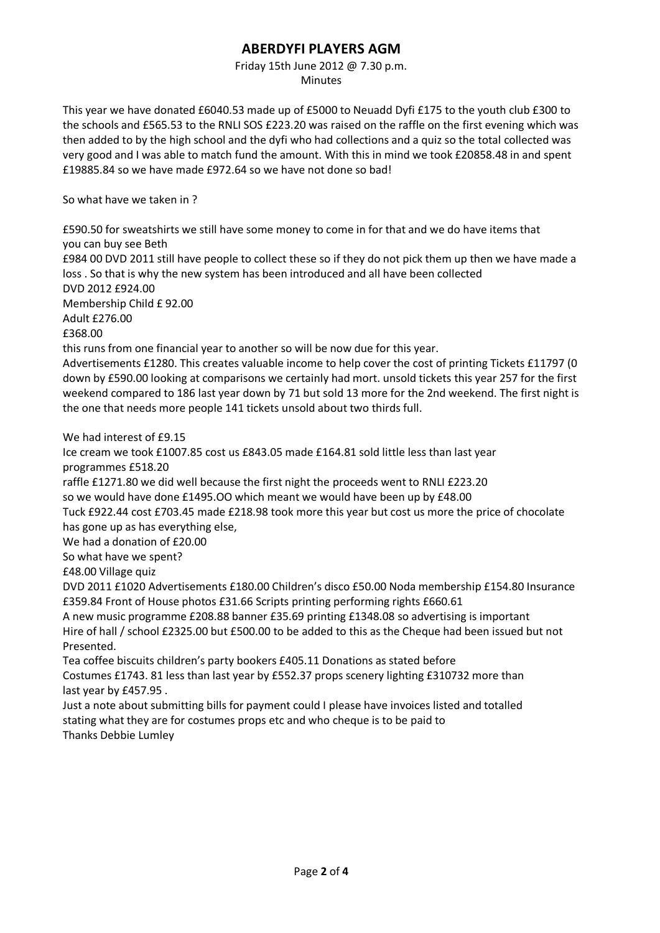# Friday 15th June 2012 @ 7.30 p.m.

Minutes

This year we have donated £6040.53 made up of £5000 to Neuadd Dyfi £175 to the youth club £300 to the schools and £565.53 to the RNLI SOS £223.20 was raised on the raffle on the first evening which was then added to by the high school and the dyfi who had collections and a quiz so the total collected was very good and I was able to match fund the amount. With this in mind we took £20858.48 in and spent £19885.84 so we have made £972.64 so we have not done so bad!

So what have we taken in ?

£590.50 for sweatshirts we still have some money to come in for that and we do have items that you can buy see Beth

£984 00 DVD 2011 still have people to collect these so if they do not pick them up then we have made a loss . So that is why the new system has been introduced and all have been collected DVD 2012 £924.00

Membership Child £ 92.00

Adult £276.00

£368.00

this runs from one financial year to another so will be now due for this year.

Advertisements £1280. This creates valuable income to help cover the cost of printing Tickets £11797 (0 down by £590.00 looking at comparisons we certainly had mort. unsold tickets this year 257 for the first weekend compared to 186 last year down by 71 but sold 13 more for the 2nd weekend. The first night is the one that needs more people 141 tickets unsold about two thirds full.

We had interest of £9.15

Ice cream we took £1007.85 cost us £843.05 made £164.81 sold little less than last year programmes £518.20

raffle £1271.80 we did well because the first night the proceeds went to RNLI £223.20

so we would have done £1495.OO which meant we would have been up by £48.00

Tuck £922.44 cost £703.45 made £218.98 took more this year but cost us more the price of chocolate has gone up as has everything else,

We had a donation of £20.00

So what have we spent?

£48.00 Village quiz

DVD 2011 £1020 Advertisements £180.00 Children's disco £50.00 Noda membership £154.80 Insurance £359.84 Front of House photos £31.66 Scripts printing performing rights £660.61

A new music programme £208.88 banner £35.69 printing £1348.08 so advertising is important Hire of hall / school £2325.00 but £500.00 to be added to this as the Cheque had been issued but not Presented.

Tea coffee biscuits children's party bookers £405.11 Donations as stated before

Costumes £1743. 81 less than last year by £552.37 props scenery lighting £310732 more than last year by £457.95 .

Just a note about submitting bills for payment could I please have invoices listed and totalled stating what they are for costumes props etc and who cheque is to be paid to Thanks Debbie Lumley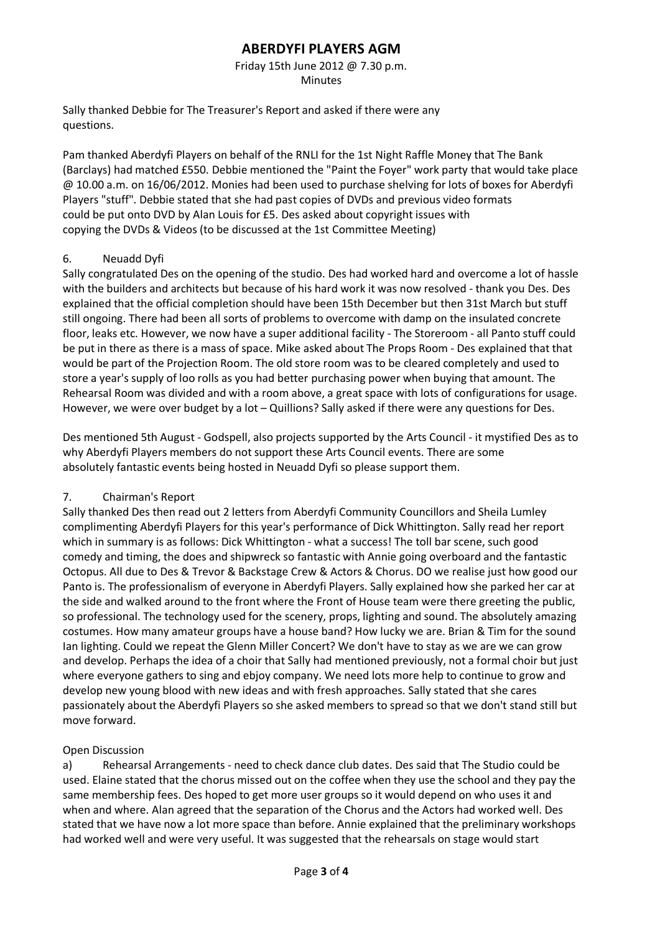Friday 15th June 2012 @ 7.30 p.m. Minutes

Sally thanked Debbie for The Treasurer's Report and asked if there were any questions.

Pam thanked Aberdyfi Players on behalf of the RNLI for the 1st Night Raffle Money that The Bank (Barclays) had matched £550. Debbie mentioned the "Paint the Foyer" work party that would take place @ 10.00 a.m. on 16/06/2012. Monies had been used to purchase shelving for lots of boxes for Aberdyfi Players "stuff". Debbie stated that she had past copies of DVDs and previous video formats could be put onto DVD by Alan Louis for £5. Des asked about copyright issues with copying the DVDs & Videos (to be discussed at the 1st Committee Meeting)

## 6. Neuadd Dyfi

Sally congratulated Des on the opening of the studio. Des had worked hard and overcome a lot of hassle with the builders and architects but because of his hard work it was now resolved - thank you Des. Des explained that the official completion should have been 15th December but then 31st March but stuff still ongoing. There had been all sorts of problems to overcome with damp on the insulated concrete floor, leaks etc. However, we now have a super additional facility - The Storeroom - all Panto stuff could be put in there as there is a mass of space. Mike asked about The Props Room - Des explained that that would be part of the Projection Room. The old store room was to be cleared completely and used to store a year's supply of loo rolls as you had better purchasing power when buying that amount. The Rehearsal Room was divided and with a room above, a great space with lots of configurations for usage. However, we were over budget by a lot – Quillions? Sally asked if there were any questions for Des.

Des mentioned 5th August - Godspell, also projects supported by the Arts Council - it mystified Des as to why Aberdyfi Players members do not support these Arts Council events. There are some absolutely fantastic events being hosted in Neuadd Dyfi so please support them.

#### 7. Chairman's Report

Sally thanked Des then read out 2 letters from Aberdyfi Community Councillors and Sheila Lumley complimenting Aberdyfi Players for this year's performance of Dick Whittington. Sally read her report which in summary is as follows: Dick Whittington - what a success! The toll bar scene, such good comedy and timing, the does and shipwreck so fantastic with Annie going overboard and the fantastic Octopus. All due to Des & Trevor & Backstage Crew & Actors & Chorus. DO we realise just how good our Panto is. The professionalism of everyone in Aberdyfi Players. Sally explained how she parked her car at the side and walked around to the front where the Front of House team were there greeting the public, so professional. The technology used for the scenery, props, lighting and sound. The absolutely amazing costumes. How many amateur groups have a house band? How lucky we are. Brian & Tim for the sound Ian lighting. Could we repeat the Glenn Miller Concert? We don't have to stay as we are we can grow and develop. Perhaps the idea of a choir that Sally had mentioned previously, not a formal choir but just where everyone gathers to sing and ebjoy company. We need lots more help to continue to grow and develop new young blood with new ideas and with fresh approaches. Sally stated that she cares passionately about the Aberdyfi Players so she asked members to spread so that we don't stand still but move forward.

#### Open Discussion

a) Rehearsal Arrangements - need to check dance club dates. Des said that The Studio could be used. Elaine stated that the chorus missed out on the coffee when they use the school and they pay the same membership fees. Des hoped to get more user groups so it would depend on who uses it and when and where. Alan agreed that the separation of the Chorus and the Actors had worked well. Des stated that we have now a lot more space than before. Annie explained that the preliminary workshops had worked well and were very useful. It was suggested that the rehearsals on stage would start